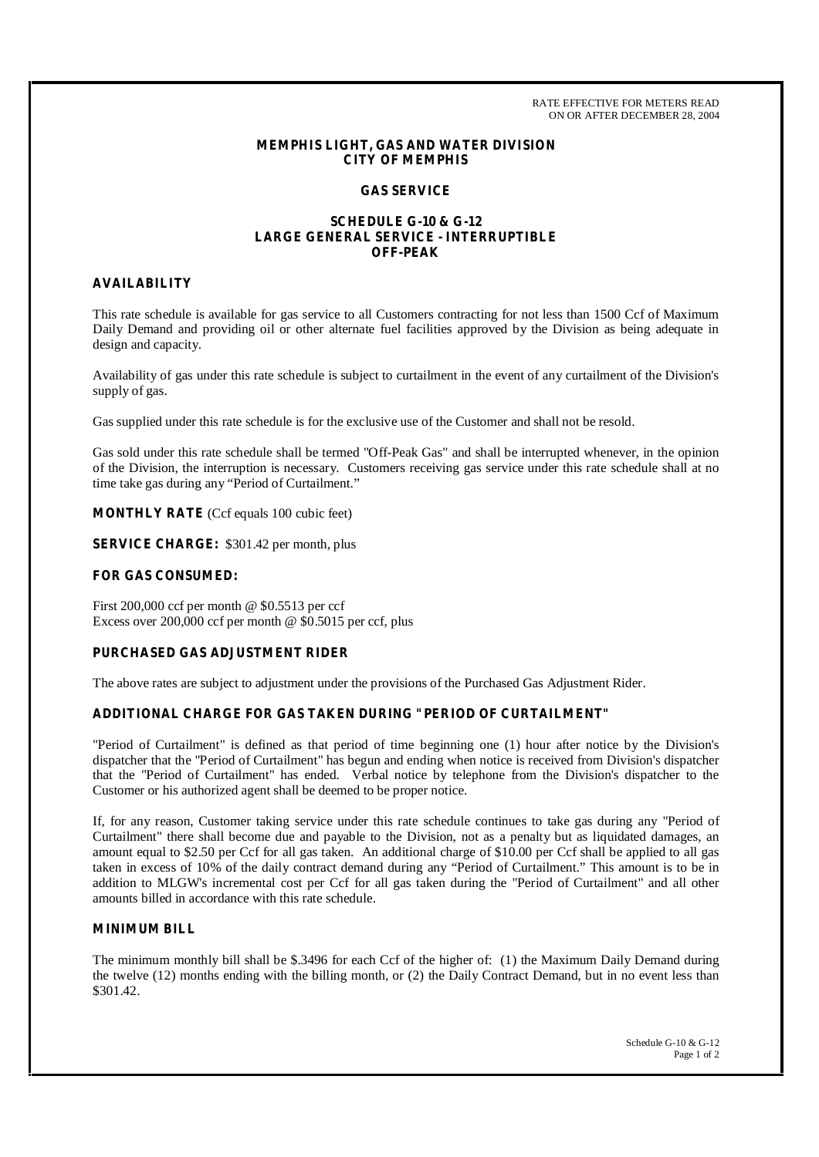RATE EFFECTIVE FOR METERS READ ON OR AFTER DECEMBER 28, 2004

## **MEMPHIS LIGHT, GAS AND WATER DIVISION CITY OF MEMPHIS**

# **GAS SERVICE**

# **SCHEDULE G-10 & G-12 LARGE GENERAL SERVICE - INTERRUPTIBLE OFF-PEAK**

## **AVAILABILITY**

This rate schedule is available for gas service to all Customers contracting for not less than 1500 Ccf of Maximum Daily Demand and providing oil or other alternate fuel facilities approved by the Division as being adequate in design and capacity.

Availability of gas under this rate schedule is subject to curtailment in the event of any curtailment of the Division's supply of gas.

Gas supplied under this rate schedule is for the exclusive use of the Customer and shall not be resold.

Gas sold under this rate schedule shall be termed "Off-Peak Gas" and shall be interrupted whenever, in the opinion of the Division, the interruption is necessary. Customers receiving gas service under this rate schedule shall at no time take gas during any "Period of Curtailment."

**MONTHLY RATE** (Ccf equals 100 cubic feet)

**SERVICE CHARGE:** \$301.42 per month, plus

### **FOR GAS CONSUMED:**

First 200,000 ccf per month @ \$0.5513 per ccf Excess over 200,000 ccf per month @ \$0.5015 per ccf, plus

# **PURCHASED GAS ADJUSTMENT RIDER**

The above rates are subject to adjustment under the provisions of the Purchased Gas Adjustment Rider.

# **ADDITIONAL CHARGE FOR GAS TAKEN DURING "PERIOD OF CURTAILMENT"**

"Period of Curtailment" is defined as that period of time beginning one (1) hour after notice by the Division's dispatcher that the "Period of Curtailment" has begun and ending when notice is received from Division's dispatcher that the "Period of Curtailment" has ended. Verbal notice by telephone from the Division's dispatcher to the Customer or his authorized agent shall be deemed to be proper notice.

If, for any reason, Customer taking service under this rate schedule continues to take gas during any "Period of Curtailment" there shall become due and payable to the Division, not as a penalty but as liquidated damages, an amount equal to \$2.50 per Ccf for all gas taken. An additional charge of \$10.00 per Ccf shall be applied to all gas taken in excess of 10% of the daily contract demand during any "Period of Curtailment." This amount is to be in addition to MLGW's incremental cost per Ccf for all gas taken during the "Period of Curtailment" and all other amounts billed in accordance with this rate schedule.

# **MINIMUM BILL**

The minimum monthly bill shall be \$.3496 for each Ccf of the higher of: (1) the Maximum Daily Demand during the twelve (12) months ending with the billing month, or (2) the Daily Contract Demand, but in no event less than \$301.42.

> Schedule G-10 & G-12 Page 1 of 2